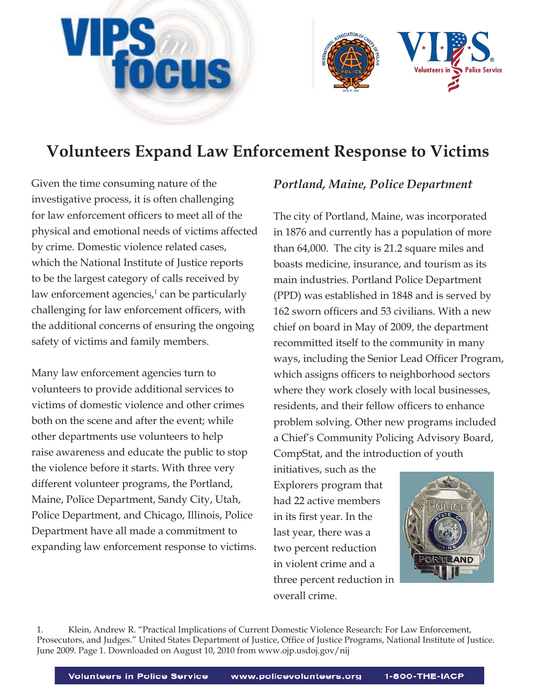



Given the time consuming nature of the investigative process, it is often challenging for law enforcement officers to meet all of the physical and emotional needs of victims affected by crime. Domestic violence related cases, which the National Institute of Justice reports to be the largest category of calls received by law enforcement agencies, $1$  can be particularly challenging for law enforcement officers, with the additional concerns of ensuring the ongoing safety of victims and family members.

Many law enforcement agencies turn to volunteers to provide additional services to victims of domestic violence and other crimes both on the scene and after the event; while other departments use volunteers to help raise awareness and educate the public to stop the violence before it starts. With three very different volunteer programs, the Portland, Maine, Police Department, Sandy City, Utah, Police Department, and Chicago, Illinois, Police Department have all made a commitment to expanding law enforcement response to victims.

# *Portland, Maine, Police Department*

The city of Portland, Maine, was incorporated in 1876 and currently has a population of more than 64,000. The city is 21.2 square miles and boasts medicine, insurance, and tourism as its main industries. Portland Police Department (PPD) was established in 1848 and is served by 162 sworn officers and 53 civilians. With a new chief on board in May of 2009, the department recommitted itself to the community in many ways, including the Senior Lead Officer Program, which assigns officers to neighborhood sectors where they work closely with local businesses, residents, and their fellow officers to enhance problem solving. Other new programs included a Chief's Community Policing Advisory Board, CompStat, and the introduction of youth

initiatives, such as the Explorers program that had 22 active members in its first year. In the last year, there was a two percent reduction in violent crime and a three percent reduction in overall crime.



1. Klein, Andrew R. "Practical Implications of Current Domestic Violence Research: For Law Enforcement, Prosecutors, and Judges." United States Department of Justice, Office of Justice Programs, National Institute of Justice. June 2009. Page 1. Downloaded on August 10, 2010 from www.ojp.usdoj.gov/nij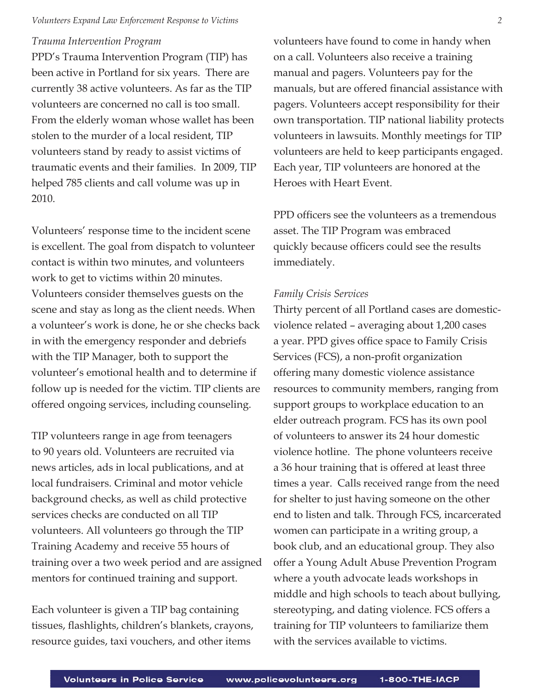#### *Trauma Intervention Program*

PPD's Trauma Intervention Program (TIP) has been active in Portland for six years. There are currently 38 active volunteers. As far as the TIP volunteers are concerned no call is too small. From the elderly woman whose wallet has been stolen to the murder of a local resident, TIP volunteers stand by ready to assist victims of traumatic events and their families. In 2009, TIP helped 785 clients and call volume was up in 2010.

Volunteers' response time to the incident scene is excellent. The goal from dispatch to volunteer contact is within two minutes, and volunteers work to get to victims within 20 minutes. Volunteers consider themselves guests on the scene and stay as long as the client needs. When a volunteer's work is done, he or she checks back in with the emergency responder and debriefs with the TIP Manager, both to support the volunteer's emotional health and to determine if follow up is needed for the victim. TIP clients are offered ongoing services, including counseling.

TIP volunteers range in age from teenagers to 90 years old. Volunteers are recruited via news articles, ads in local publications, and at local fundraisers. Criminal and motor vehicle background checks, as well as child protective services checks are conducted on all TIP volunteers. All volunteers go through the TIP Training Academy and receive 55 hours of training over a two week period and are assigned mentors for continued training and support.

Each volunteer is given a TIP bag containing tissues, flashlights, children's blankets, crayons, resource guides, taxi vouchers, and other items

volunteers have found to come in handy when on a call. Volunteers also receive a training manual and pagers. Volunteers pay for the manuals, but are offered financial assistance with pagers. Volunteers accept responsibility for their own transportation. TIP national liability protects volunteers in lawsuits. Monthly meetings for TIP volunteers are held to keep participants engaged. Each year, TIP volunteers are honored at the Heroes with Heart Event.

PPD officers see the volunteers as a tremendous asset. The TIP Program was embraced quickly because officers could see the results immediately.

## *Family Crisis Services*

Thirty percent of all Portland cases are domesticviolence related – averaging about 1,200 cases a year. PPD gives office space to Family Crisis Services (FCS), a non-profit organization offering many domestic violence assistance resources to community members, ranging from support groups to workplace education to an elder outreach program. FCS has its own pool of volunteers to answer its 24 hour domestic violence hotline. The phone volunteers receive a 36 hour training that is offered at least three times a year. Calls received range from the need for shelter to just having someone on the other end to listen and talk. Through FCS, incarcerated women can participate in a writing group, a book club, and an educational group. They also offer a Young Adult Abuse Prevention Program where a youth advocate leads workshops in middle and high schools to teach about bullying, stereotyping, and dating violence. FCS offers a training for TIP volunteers to familiarize them with the services available to victims.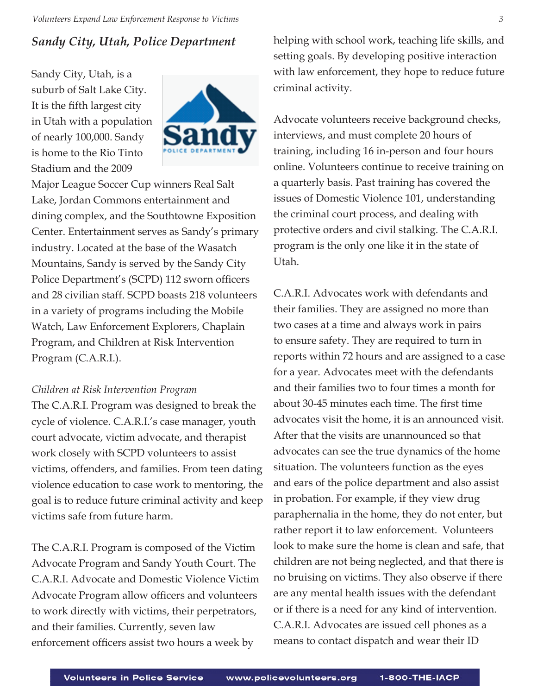# *Sandy City, Utah, Police Department*

Sandy City, Utah, is a suburb of Salt Lake City. It is the fifth largest city in Utah with a population of nearly 100,000. Sandy is home to the Rio Tinto Stadium and the 2009



Major League Soccer Cup winners Real Salt Lake, Jordan Commons entertainment and dining complex, and the Southtowne Exposition Center. Entertainment serves as Sandy's primary industry. Located at the base of the Wasatch Mountains, Sandy is served by the Sandy City Police Department's (SCPD) 112 sworn officers and 28 civilian staff. SCPD boasts 218 volunteers in a variety of programs including the Mobile Watch, Law Enforcement Explorers, Chaplain Program, and Children at Risk Intervention Program (C.A.R.I.).

## *Children at Risk Intervention Program*

The C.A.R.I. Program was designed to break the cycle of violence. C.A.R.I.'s case manager, youth court advocate, victim advocate, and therapist work closely with SCPD volunteers to assist victims, offenders, and families. From teen dating violence education to case work to mentoring, the goal is to reduce future criminal activity and keep victims safe from future harm.

The C.A.R.I. Program is composed of the Victim Advocate Program and Sandy Youth Court. The C.A.R.I. Advocate and Domestic Violence Victim Advocate Program allow officers and volunteers to work directly with victims, their perpetrators, and their families. Currently, seven law enforcement officers assist two hours a week by

helping with school work, teaching life skills, and setting goals. By developing positive interaction with law enforcement, they hope to reduce future criminal activity.

Advocate volunteers receive background checks, interviews, and must complete 20 hours of training, including 16 in-person and four hours online. Volunteers continue to receive training on a quarterly basis. Past training has covered the issues of Domestic Violence 101, understanding the criminal court process, and dealing with protective orders and civil stalking. The C.A.R.I. program is the only one like it in the state of Utah.

C.A.R.I. Advocates work with defendants and their families. They are assigned no more than two cases at a time and always work in pairs to ensure safety. They are required to turn in reports within 72 hours and are assigned to a case for a year. Advocates meet with the defendants and their families two to four times a month for about 30-45 minutes each time. The first time advocates visit the home, it is an announced visit. After that the visits are unannounced so that advocates can see the true dynamics of the home situation. The volunteers function as the eyes and ears of the police department and also assist in probation. For example, if they view drug paraphernalia in the home, they do not enter, but rather report it to law enforcement. Volunteers look to make sure the home is clean and safe, that children are not being neglected, and that there is no bruising on victims. They also observe if there are any mental health issues with the defendant or if there is a need for any kind of intervention. C.A.R.I. Advocates are issued cell phones as a means to contact dispatch and wear their ID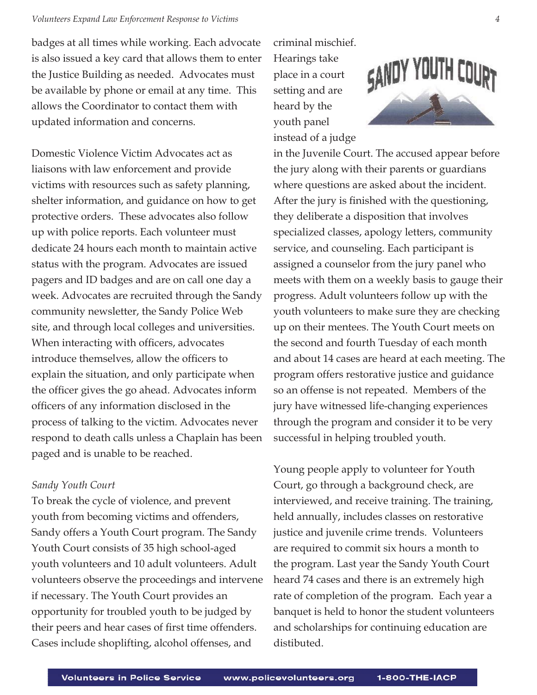badges at all times while working. Each advocate is also issued a key card that allows them to enter the Justice Building as needed. Advocates must be available by phone or email at any time. This allows the Coordinator to contact them with updated information and concerns.

Domestic Violence Victim Advocates act as liaisons with law enforcement and provide victims with resources such as safety planning, shelter information, and guidance on how to get protective orders. These advocates also follow up with police reports. Each volunteer must dedicate 24 hours each month to maintain active status with the program. Advocates are issued pagers and ID badges and are on call one day a week. Advocates are recruited through the Sandy community newsletter, the Sandy Police Web site, and through local colleges and universities. When interacting with officers, advocates introduce themselves, allow the officers to explain the situation, and only participate when the officer gives the go ahead. Advocates inform officers of any information disclosed in the process of talking to the victim. Advocates never respond to death calls unless a Chaplain has been paged and is unable to be reached.

## *Sandy Youth Court*

To break the cycle of violence, and prevent youth from becoming victims and offenders, Sandy offers a Youth Court program. The Sandy Youth Court consists of 35 high school-aged youth volunteers and 10 adult volunteers. Adult volunteers observe the proceedings and intervene if necessary. The Youth Court provides an opportunity for troubled youth to be judged by their peers and hear cases of first time offenders. Cases include shoplifting, alcohol offenses, and

criminal mischief. Hearings take place in a court setting and are heard by the youth panel instead of a judge



in the Juvenile Court. The accused appear before the jury along with their parents or guardians where questions are asked about the incident. After the jury is finished with the questioning, they deliberate a disposition that involves specialized classes, apology letters, community service, and counseling. Each participant is assigned a counselor from the jury panel who meets with them on a weekly basis to gauge their progress. Adult volunteers follow up with the youth volunteers to make sure they are checking up on their mentees. The Youth Court meets on the second and fourth Tuesday of each month and about 14 cases are heard at each meeting. The program offers restorative justice and guidance so an offense is not repeated. Members of the jury have witnessed life-changing experiences through the program and consider it to be very successful in helping troubled youth.

Young people apply to volunteer for Youth Court, go through a background check, are interviewed, and receive training. The training, held annually, includes classes on restorative justice and juvenile crime trends. Volunteers are required to commit six hours a month to the program. Last year the Sandy Youth Court heard 74 cases and there is an extremely high rate of completion of the program. Each year a banquet is held to honor the student volunteers and scholarships for continuing education are distibuted.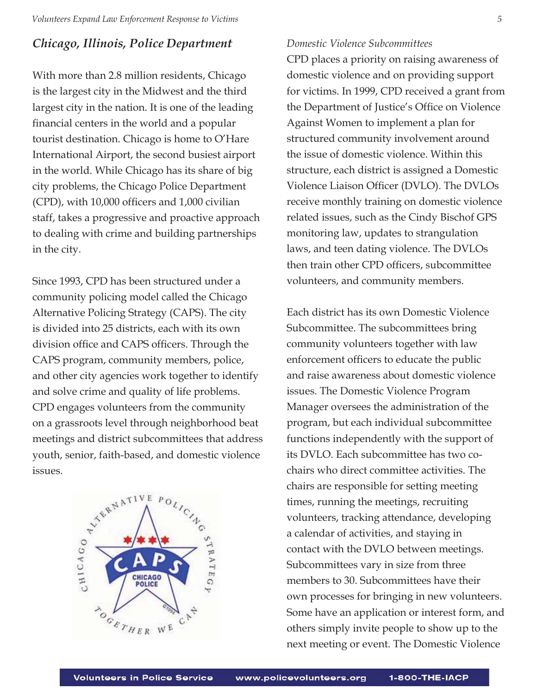## *Chicago, Illinois, Police Department*

With more than 2.8 million residents, Chicago is the largest city in the Midwest and the third largest city in the nation. It is one of the leading financial centers in the world and a popular tourist destination. Chicago is home to O'Hare International Airport, the second busiest airport in the world. While Chicago has its share of big city problems, the Chicago Police Department  $(CPD)$ , with 10,000 officers and 1,000 civilian staff, takes a progressive and proactive approach to dealing with crime and building partnerships in the city.

Since 1993, CPD has been structured under a community policing model called the Chicago Alternative Policing Strategy (CAPS). The city is divided into 25 districts, each with its own division office and CAPS officers. Through the CAPS program, community members, police, and other city agencies work together to identify and solve crime and quality of life problems. CPD engages volunteers from the community on a grassroots level through neighborhood beat meetings and district subcommittees that address youth, senior, faith-based, and domestic violence issues.



## *Domestic Violence Subcommittees*

CPD places a priority on raising awareness of domestic violence and on providing support for victims. In 1999, CPD received a grant from the Department of Justice's Office on Violence Against Women to implement a plan for structured community involvement around the issue of domestic violence. Within this structure, each district is assigned a Domestic Violence Liaison Officer (DVLO). The DVLOs receive monthly training on domestic violence related issues, such as the Cindy Bischof GPS monitoring law, updates to strangulation laws, and teen dating violence. The DVLOs then train other CPD officers, subcommittee volunteers, and community members.

Each district has its own Domestic Violence Subcommittee. The subcommittees bring community volunteers together with law enforcement officers to educate the public and raise awareness about domestic violence issues. The Domestic Violence Program Manager oversees the administration of the program, but each individual subcommittee functions independently with the support of its DVLO. Each subcommittee has two cochairs who direct committee activities. The chairs are responsible for setting meeting times, running the meetings, recruiting volunteers, tracking attendance, developing a calendar of activities, and staying in contact with the DVLO between meetings. Subcommittees vary in size from three members to 30. Subcommittees have their own processes for bringing in new volunteers. Some have an application or interest form, and others simply invite people to show up to the next meeting or event. The Domestic Violence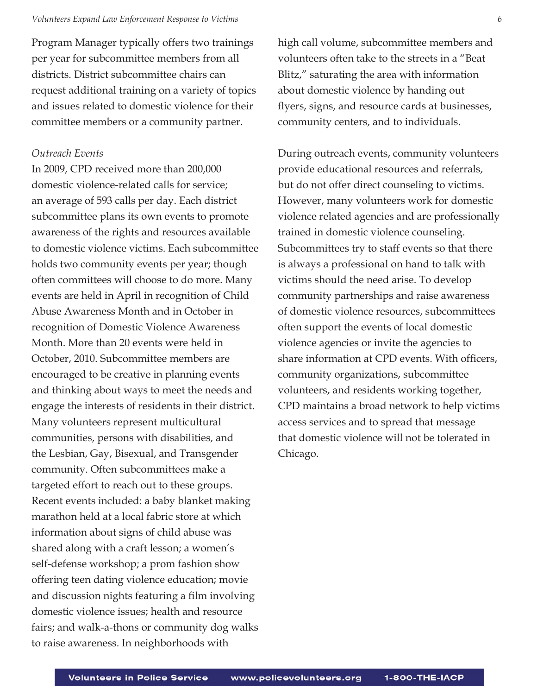Program Manager typically offers two trainings per year for subcommittee members from all districts. District subcommittee chairs can request additional training on a variety of topics and issues related to domestic violence for their committee members or a community partner.

### *Outreach Events*

In 2009, CPD received more than 200,000 domestic violence-related calls for service; an average of 593 calls per day. Each district subcommittee plans its own events to promote awareness of the rights and resources available to domestic violence victims. Each subcommittee holds two community events per year; though often committees will choose to do more. Many events are held in April in recognition of Child Abuse Awareness Month and in October in recognition of Domestic Violence Awareness Month. More than 20 events were held in October, 2010. Subcommittee members are encouraged to be creative in planning events and thinking about ways to meet the needs and engage the interests of residents in their district. Many volunteers represent multicultural communities, persons with disabilities, and the Lesbian, Gay, Bisexual, and Transgender community. Often subcommittees make a targeted effort to reach out to these groups. Recent events included: a baby blanket making marathon held at a local fabric store at which information about signs of child abuse was shared along with a craft lesson; a women's self-defense workshop; a prom fashion show offering teen dating violence education; movie and discussion nights featuring a film involving domestic violence issues; health and resource fairs; and walk-a-thons or community dog walks to raise awareness. In neighborhoods with

high call volume, subcommittee members and volunteers often take to the streets in a "Beat Blitz," saturating the area with information about domestic violence by handing out flyers, signs, and resource cards at businesses, community centers, and to individuals.

During outreach events, community volunteers provide educational resources and referrals, but do not offer direct counseling to victims. However, many volunteers work for domestic violence related agencies and are professionally trained in domestic violence counseling. Subcommittees try to staff events so that there is always a professional on hand to talk with victims should the need arise. To develop community partnerships and raise awareness of domestic violence resources, subcommittees often support the events of local domestic violence agencies or invite the agencies to share information at CPD events. With officers, community organizations, subcommittee volunteers, and residents working together, CPD maintains a broad network to help victims access services and to spread that message that domestic violence will not be tolerated in Chicago.